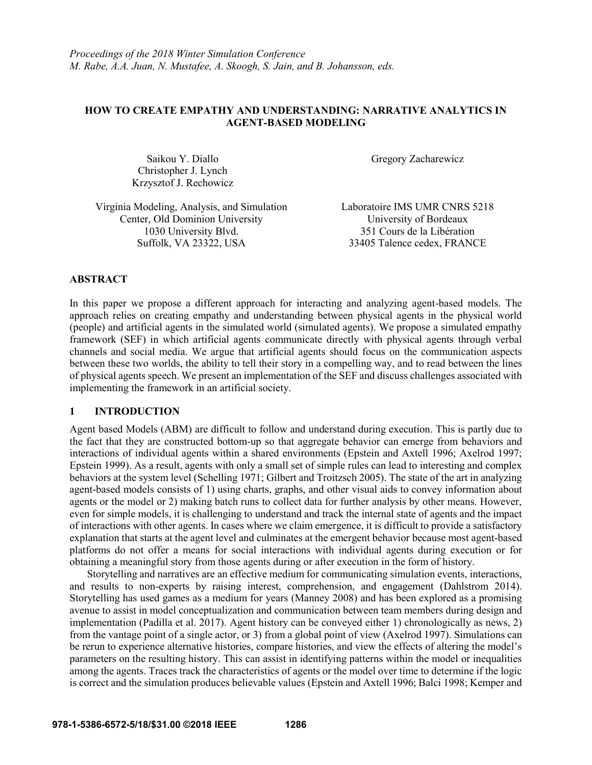# **HOW TO CREATE EMPATHY AND UNDERSTANDING: NARRATIVE ANALYTICS IN AGENT-BASED MODELING**

Saikou Y. Diallo Christopher J. Lynch Krzysztof J. Rechowicz Gregory Zacharewicz

Virginia Modeling, Analysis, and Simulation Laboratoire IMS UMR CNRS 5218 Center, Old Dominion University University of Bordeaux 1030 University Blvd. 351 Cours de la Libération Suffolk, VA 23322, USA 33405 Talence cedex, FRANCE

## **ABSTRACT**

In this paper we propose a different approach for interacting and analyzing agent-based models. The approach relies on creating empathy and understanding between physical agents in the physical world (people) and artificial agents in the simulated world (simulated agents). We propose a simulated empathy framework (SEF) in which artificial agents communicate directly with physical agents through verbal channels and social media. We argue that artificial agents should focus on the communication aspects between these two worlds, the ability to tell their story in a compelling way, and to read between the lines of physical agents speech. We present an implementation of the SEF and discuss challenges associated with implementing the framework in an artificial society.

# **1 INTRODUCTION**

Agent based Models (ABM) are difficult to follow and understand during execution. This is partly due to the fact that they are constructed bottom-up so that aggregate behavior can emerge from behaviors and interactions of individual agents within a shared environments (Epstein and Axtell 1996; Axelrod 1997; Epstein 1999). As a result, agents with only a small set of simple rules can lead to interesting and complex behaviors at the system level (Schelling 1971; Gilbert and Troitzsch 2005). The state of the art in analyzing agent-based models consists of 1) using charts, graphs, and other visual aids to convey information about agents or the model or 2) making batch runs to collect data for further analysis by other means. However, even for simple models, it is challenging to understand and track the internal state of agents and the impact of interactions with other agents. In cases where we claim emergence, it is difficult to provide a satisfactory explanation that starts at the agent level and culminates at the emergent behavior because most agent-based platforms do not offer a means for social interactions with individual agents during execution or for obtaining a meaningful story from those agents during or after execution in the form of history.

Storytelling and narratives are an effective medium for communicating simulation events, interactions, and results to non-experts by raising interest, comprehension, and engagement (Dahlstrom 2014). Storytelling has used games as a medium for years (Manney 2008) and has been explored as a promising avenue to assist in model conceptualization and communication between team members during design and implementation (Padilla et al. 2017). Agent history can be conveyed either 1) chronologically as news, 2) from the vantage point of a single actor, or 3) from a global point of view (Axelrod 1997). Simulations can be rerun to experience alternative histories, compare histories, and view the effects of altering the model's parameters on the resulting history. This can assist in identifying patterns within the model or inequalities among the agents. Traces track the characteristics of agents or the model over time to determine if the logic is correct and the simulation produces believable values (Epstein and Axtell 1996; Balci 1998; Kemper and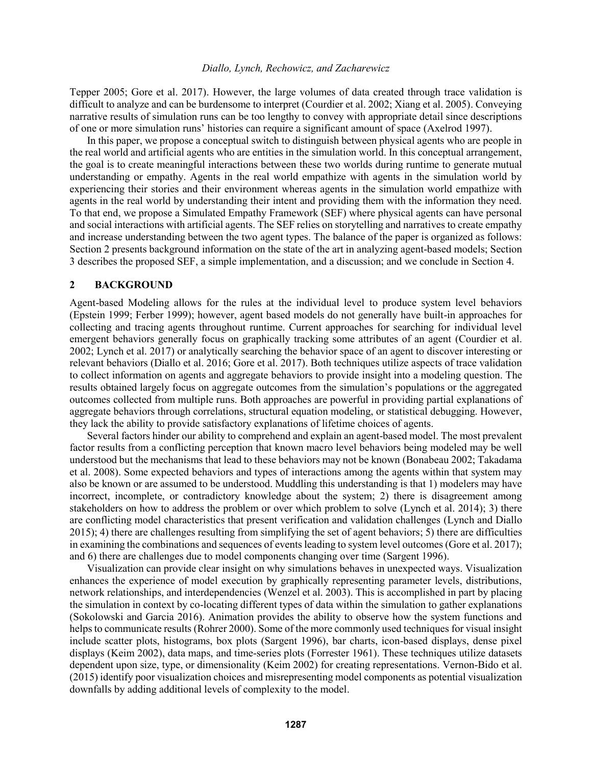Tepper 2005; Gore et al. 2017). However, the large volumes of data created through trace validation is difficult to analyze and can be burdensome to interpret (Courdier et al. 2002; Xiang et al. 2005). Conveying narrative results of simulation runs can be too lengthy to convey with appropriate detail since descriptions of one or more simulation runs' histories can require a significant amount of space (Axelrod 1997).

In this paper, we propose a conceptual switch to distinguish between physical agents who are people in the real world and artificial agents who are entities in the simulation world. In this conceptual arrangement, the goal is to create meaningful interactions between these two worlds during runtime to generate mutual understanding or empathy. Agents in the real world empathize with agents in the simulation world by experiencing their stories and their environment whereas agents in the simulation world empathize with agents in the real world by understanding their intent and providing them with the information they need. To that end, we propose a Simulated Empathy Framework (SEF) where physical agents can have personal and social interactions with artificial agents. The SEF relies on storytelling and narratives to create empathy and increase understanding between the two agent types. The balance of the paper is organized as follows: Section 2 presents background information on the state of the art in analyzing agent-based models; Section 3 describes the proposed SEF, a simple implementation, and a discussion; and we conclude in Section 4.

### **2 BACKGROUND**

Agent-based Modeling allows for the rules at the individual level to produce system level behaviors (Epstein 1999; Ferber 1999); however, agent based models do not generally have built-in approaches for collecting and tracing agents throughout runtime. Current approaches for searching for individual level emergent behaviors generally focus on graphically tracking some attributes of an agent (Courdier et al. 2002; Lynch et al. 2017) or analytically searching the behavior space of an agent to discover interesting or relevant behaviors (Diallo et al. 2016; Gore et al. 2017). Both techniques utilize aspects of trace validation to collect information on agents and aggregate behaviors to provide insight into a modeling question. The results obtained largely focus on aggregate outcomes from the simulation's populations or the aggregated outcomes collected from multiple runs. Both approaches are powerful in providing partial explanations of aggregate behaviors through correlations, structural equation modeling, or statistical debugging. However, they lack the ability to provide satisfactory explanations of lifetime choices of agents.

Several factors hinder our ability to comprehend and explain an agent-based model. The most prevalent factor results from a conflicting perception that known macro level behaviors being modeled may be well understood but the mechanisms that lead to these behaviors may not be known (Bonabeau 2002; Takadama et al. 2008). Some expected behaviors and types of interactions among the agents within that system may also be known or are assumed to be understood. Muddling this understanding is that 1) modelers may have incorrect, incomplete, or contradictory knowledge about the system; 2) there is disagreement among stakeholders on how to address the problem or over which problem to solve (Lynch et al. 2014); 3) there are conflicting model characteristics that present verification and validation challenges (Lynch and Diallo 2015); 4) there are challenges resulting from simplifying the set of agent behaviors; 5) there are difficulties in examining the combinations and sequences of events leading to system level outcomes (Gore et al. 2017); and 6) there are challenges due to model components changing over time (Sargent 1996).

Visualization can provide clear insight on why simulations behaves in unexpected ways. Visualization enhances the experience of model execution by graphically representing parameter levels, distributions, network relationships, and interdependencies (Wenzel et al. 2003). This is accomplished in part by placing the simulation in context by co-locating different types of data within the simulation to gather explanations (Sokolowski and Garcia 2016). Animation provides the ability to observe how the system functions and helps to communicate results (Rohrer 2000). Some of the more commonly used techniques for visual insight include scatter plots, histograms, box plots (Sargent 1996), bar charts, icon-based displays, dense pixel displays (Keim 2002), data maps, and time-series plots (Forrester 1961). These techniques utilize datasets dependent upon size, type, or dimensionality (Keim 2002) for creating representations. Vernon-Bido et al. (2015) identify poor visualization choices and misrepresenting model components as potential visualization downfalls by adding additional levels of complexity to the model.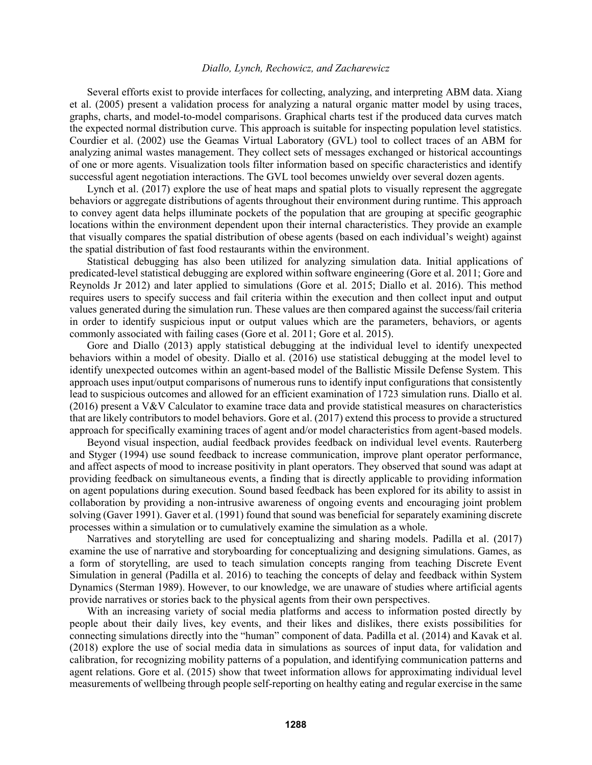Several efforts exist to provide interfaces for collecting, analyzing, and interpreting ABM data. Xiang et al. (2005) present a validation process for analyzing a natural organic matter model by using traces, graphs, charts, and model-to-model comparisons. Graphical charts test if the produced data curves match the expected normal distribution curve. This approach is suitable for inspecting population level statistics. Courdier et al. (2002) use the Geamas Virtual Laboratory (GVL) tool to collect traces of an ABM for analyzing animal wastes management. They collect sets of messages exchanged or historical accountings of one or more agents. Visualization tools filter information based on specific characteristics and identify successful agent negotiation interactions. The GVL tool becomes unwieldy over several dozen agents.

Lynch et al. (2017) explore the use of heat maps and spatial plots to visually represent the aggregate behaviors or aggregate distributions of agents throughout their environment during runtime. This approach to convey agent data helps illuminate pockets of the population that are grouping at specific geographic locations within the environment dependent upon their internal characteristics. They provide an example that visually compares the spatial distribution of obese agents (based on each individual's weight) against the spatial distribution of fast food restaurants within the environment.

Statistical debugging has also been utilized for analyzing simulation data. Initial applications of predicated-level statistical debugging are explored within software engineering (Gore et al. 2011; Gore and Reynolds Jr 2012) and later applied to simulations (Gore et al. 2015; Diallo et al. 2016). This method requires users to specify success and fail criteria within the execution and then collect input and output values generated during the simulation run. These values are then compared against the success/fail criteria in order to identify suspicious input or output values which are the parameters, behaviors, or agents commonly associated with failing cases (Gore et al. 2011; Gore et al. 2015).

Gore and Diallo (2013) apply statistical debugging at the individual level to identify unexpected behaviors within a model of obesity. Diallo et al. (2016) use statistical debugging at the model level to identify unexpected outcomes within an agent-based model of the Ballistic Missile Defense System. This approach uses input/output comparisons of numerous runs to identify input configurations that consistently lead to suspicious outcomes and allowed for an efficient examination of 1723 simulation runs. Diallo et al. (2016) present a V&V Calculator to examine trace data and provide statistical measures on characteristics that are likely contributors to model behaviors. Gore et al. (2017) extend this process to provide a structured approach for specifically examining traces of agent and/or model characteristics from agent-based models.

Beyond visual inspection, audial feedback provides feedback on individual level events. Rauterberg and Styger (1994) use sound feedback to increase communication, improve plant operator performance, and affect aspects of mood to increase positivity in plant operators. They observed that sound was adapt at providing feedback on simultaneous events, a finding that is directly applicable to providing information on agent populations during execution. Sound based feedback has been explored for its ability to assist in collaboration by providing a non-intrusive awareness of ongoing events and encouraging joint problem solving (Gaver 1991). Gaver et al. (1991) found that sound was beneficial for separately examining discrete processes within a simulation or to cumulatively examine the simulation as a whole.

Narratives and storytelling are used for conceptualizing and sharing models. Padilla et al. (2017) examine the use of narrative and storyboarding for conceptualizing and designing simulations. Games, as a form of storytelling, are used to teach simulation concepts ranging from teaching Discrete Event Simulation in general (Padilla et al. 2016) to teaching the concepts of delay and feedback within System Dynamics (Sterman 1989). However, to our knowledge, we are unaware of studies where artificial agents provide narratives or stories back to the physical agents from their own perspectives.

With an increasing variety of social media platforms and access to information posted directly by people about their daily lives, key events, and their likes and dislikes, there exists possibilities for connecting simulations directly into the "human" component of data. Padilla et al. (2014) and Kavak et al. (2018) explore the use of social media data in simulations as sources of input data, for validation and calibration, for recognizing mobility patterns of a population, and identifying communication patterns and agent relations. Gore et al. (2015) show that tweet information allows for approximating individual level measurements of wellbeing through people self-reporting on healthy eating and regular exercise in the same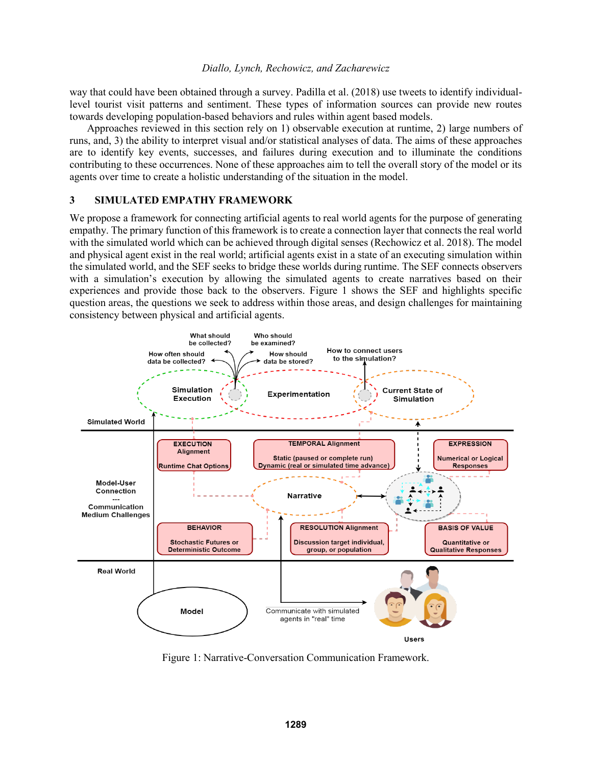way that could have been obtained through a survey. Padilla et al. (2018) use tweets to identify individuallevel tourist visit patterns and sentiment. These types of information sources can provide new routes towards developing population-based behaviors and rules within agent based models.

Approaches reviewed in this section rely on 1) observable execution at runtime, 2) large numbers of runs, and, 3) the ability to interpret visual and/or statistical analyses of data. The aims of these approaches are to identify key events, successes, and failures during execution and to illuminate the conditions contributing to these occurrences. None of these approaches aim to tell the overall story of the model or its agents over time to create a holistic understanding of the situation in the model.

### **3 SIMULATED EMPATHY FRAMEWORK**

We propose a framework for connecting artificial agents to real world agents for the purpose of generating empathy. The primary function of this framework is to create a connection layer that connects the real world with the simulated world which can be achieved through digital senses (Rechowicz et al. 2018). The model and physical agent exist in the real world; artificial agents exist in a state of an executing simulation within the simulated world, and the SEF seeks to bridge these worlds during runtime. The SEF connects observers with a simulation's execution by allowing the simulated agents to create narratives based on their experiences and provide those back to the observers. Figure 1 shows the SEF and highlights specific question areas, the questions we seek to address within those areas, and design challenges for maintaining consistency between physical and artificial agents.



Figure 1: Narrative-Conversation Communication Framework.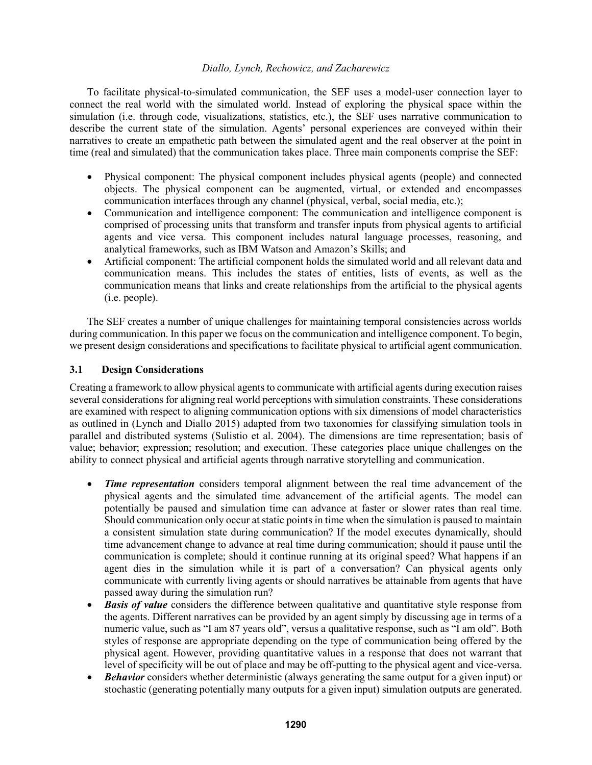To facilitate physical-to-simulated communication, the SEF uses a model-user connection layer to connect the real world with the simulated world. Instead of exploring the physical space within the simulation (i.e. through code, visualizations, statistics, etc.), the SEF uses narrative communication to describe the current state of the simulation. Agents' personal experiences are conveyed within their narratives to create an empathetic path between the simulated agent and the real observer at the point in time (real and simulated) that the communication takes place. Three main components comprise the SEF:

- Physical component: The physical component includes physical agents (people) and connected objects. The physical component can be augmented, virtual, or extended and encompasses communication interfaces through any channel (physical, verbal, social media, etc.);
- Communication and intelligence component: The communication and intelligence component is comprised of processing units that transform and transfer inputs from physical agents to artificial agents and vice versa. This component includes natural language processes, reasoning, and analytical frameworks, such as IBM Watson and Amazon's Skills; and
- Artificial component: The artificial component holds the simulated world and all relevant data and communication means. This includes the states of entities, lists of events, as well as the communication means that links and create relationships from the artificial to the physical agents (i.e. people).

The SEF creates a number of unique challenges for maintaining temporal consistencies across worlds during communication. In this paper we focus on the communication and intelligence component. To begin, we present design considerations and specifications to facilitate physical to artificial agent communication.

# **3.1 Design Considerations**

Creating a framework to allow physical agents to communicate with artificial agents during execution raises several considerations for aligning real world perceptions with simulation constraints. These considerations are examined with respect to aligning communication options with six dimensions of model characteristics as outlined in (Lynch and Diallo 2015) adapted from two taxonomies for classifying simulation tools in parallel and distributed systems (Sulistio et al. 2004). The dimensions are time representation; basis of value; behavior; expression; resolution; and execution. These categories place unique challenges on the ability to connect physical and artificial agents through narrative storytelling and communication.

- *Time representation* considers temporal alignment between the real time advancement of the physical agents and the simulated time advancement of the artificial agents. The model can potentially be paused and simulation time can advance at faster or slower rates than real time. Should communication only occur at static points in time when the simulation is paused to maintain a consistent simulation state during communication? If the model executes dynamically, should time advancement change to advance at real time during communication; should it pause until the communication is complete; should it continue running at its original speed? What happens if an agent dies in the simulation while it is part of a conversation? Can physical agents only communicate with currently living agents or should narratives be attainable from agents that have passed away during the simulation run?
- *Basis of value* considers the difference between qualitative and quantitative style response from the agents. Different narratives can be provided by an agent simply by discussing age in terms of a numeric value, such as "I am 87 years old", versus a qualitative response, such as "I am old". Both styles of response are appropriate depending on the type of communication being offered by the physical agent. However, providing quantitative values in a response that does not warrant that level of specificity will be out of place and may be off-putting to the physical agent and vice-versa.
- *Behavior* considers whether deterministic (always generating the same output for a given input) or stochastic (generating potentially many outputs for a given input) simulation outputs are generated.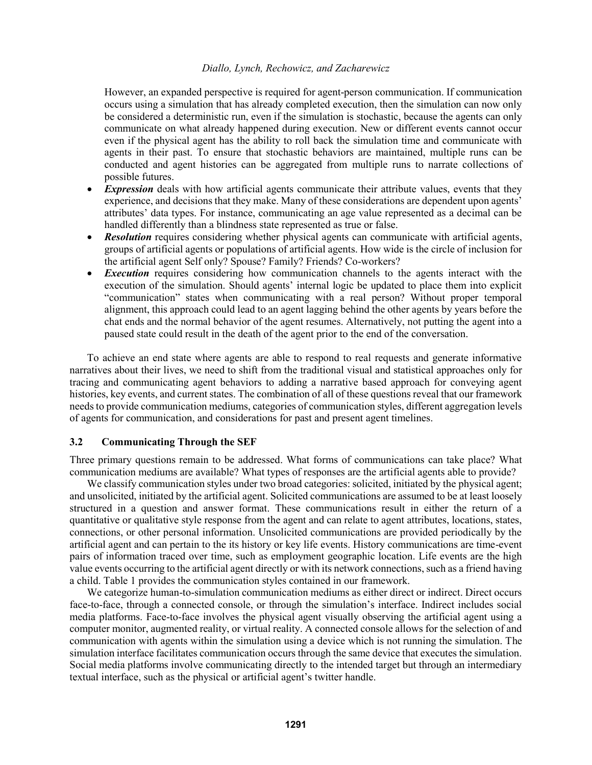However, an expanded perspective is required for agent-person communication. If communication occurs using a simulation that has already completed execution, then the simulation can now only be considered a deterministic run, even if the simulation is stochastic, because the agents can only communicate on what already happened during execution. New or different events cannot occur even if the physical agent has the ability to roll back the simulation time and communicate with agents in their past. To ensure that stochastic behaviors are maintained, multiple runs can be conducted and agent histories can be aggregated from multiple runs to narrate collections of possible futures.

- **Expression** deals with how artificial agents communicate their attribute values, events that they experience, and decisions that they make. Many of these considerations are dependent upon agents' attributes' data types. For instance, communicating an age value represented as a decimal can be handled differently than a blindness state represented as true or false.
- *Resolution* requires considering whether physical agents can communicate with artificial agents, groups of artificial agents or populations of artificial agents. How wide is the circle of inclusion for the artificial agent Self only? Spouse? Family? Friends? Co-workers?
- **Execution** requires considering how communication channels to the agents interact with the execution of the simulation. Should agents' internal logic be updated to place them into explicit "communication" states when communicating with a real person? Without proper temporal alignment, this approach could lead to an agent lagging behind the other agents by years before the chat ends and the normal behavior of the agent resumes. Alternatively, not putting the agent into a paused state could result in the death of the agent prior to the end of the conversation.

To achieve an end state where agents are able to respond to real requests and generate informative narratives about their lives, we need to shift from the traditional visual and statistical approaches only for tracing and communicating agent behaviors to adding a narrative based approach for conveying agent histories, key events, and current states. The combination of all of these questions reveal that our framework needs to provide communication mediums, categories of communication styles, different aggregation levels of agents for communication, and considerations for past and present agent timelines.

### **3.2 Communicating Through the SEF**

Three primary questions remain to be addressed. What forms of communications can take place? What communication mediums are available? What types of responses are the artificial agents able to provide?

We classify communication styles under two broad categories: solicited, initiated by the physical agent; and unsolicited, initiated by the artificial agent. Solicited communications are assumed to be at least loosely structured in a question and answer format. These communications result in either the return of a quantitative or qualitative style response from the agent and can relate to agent attributes, locations, states, connections, or other personal information. Unsolicited communications are provided periodically by the artificial agent and can pertain to the its history or key life events. History communications are time-event pairs of information traced over time, such as employment geographic location. Life events are the high value events occurring to the artificial agent directly or with its network connections, such as a friend having a child. Table 1 provides the communication styles contained in our framework.

We categorize human-to-simulation communication mediums as either direct or indirect. Direct occurs face-to-face, through a connected console, or through the simulation's interface. Indirect includes social media platforms. Face-to-face involves the physical agent visually observing the artificial agent using a computer monitor, augmented reality, or virtual reality. A connected console allows for the selection of and communication with agents within the simulation using a device which is not running the simulation. The simulation interface facilitates communication occurs through the same device that executes the simulation. Social media platforms involve communicating directly to the intended target but through an intermediary textual interface, such as the physical or artificial agent's twitter handle.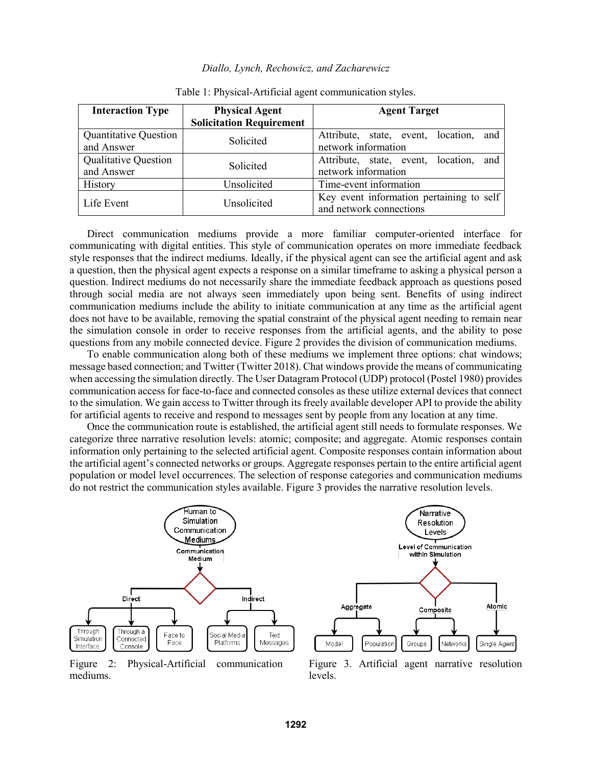| <b>Interaction Type</b>                    | <b>Physical Agent</b>           | <b>Agent Target</b>                                                 |
|--------------------------------------------|---------------------------------|---------------------------------------------------------------------|
|                                            | <b>Solicitation Requirement</b> |                                                                     |
| <b>Quantitative Question</b><br>and Answer | Solicited                       | location,<br>Attribute, state, event,<br>and<br>network information |
| <b>Qualitative Question</b><br>and Answer  | Solicited                       | Attribute, state, event, location,<br>and<br>network information    |
| History                                    | Unsolicited                     | Time-event information                                              |
| Life Event                                 | Unsolicited                     | Key event information pertaining to self<br>and network connections |

Table 1: Physical-Artificial agent communication styles.

Direct communication mediums provide a more familiar computer-oriented interface for communicating with digital entities. This style of communication operates on more immediate feedback style responses that the indirect mediums. Ideally, if the physical agent can see the artificial agent and ask a question, then the physical agent expects a response on a similar timeframe to asking a physical person a question. Indirect mediums do not necessarily share the immediate feedback approach as questions posed through social media are not always seen immediately upon being sent. Benefits of using indirect communication mediums include the ability to initiate communication at any time as the artificial agent does not have to be available, removing the spatial constraint of the physical agent needing to remain near the simulation console in order to receive responses from the artificial agents, and the ability to pose questions from any mobile connected device. Figure 2 provides the division of communication mediums.

To enable communication along both of these mediums we implement three options: chat windows; message based connection; and Twitter (Twitter 2018). Chat windows provide the means of communicating when accessing the simulation directly. The User Datagram Protocol (UDP) protocol (Postel 1980) provides communication access for face-to-face and connected consoles as these utilize external devices that connect to the simulation. We gain access to Twitter through its freely available developer API to provide the ability for artificial agents to receive and respond to messages sent by people from any location at any time.

Once the communication route is established, the artificial agent still needs to formulate responses. We categorize three narrative resolution levels: atomic; composite; and aggregate. Atomic responses contain information only pertaining to the selected artificial agent. Composite responses contain information about the artificial agent's connected networks or groups. Aggregate responses pertain to the entire artificial agent population or model level occurrences. The selection of response categories and communication mediums do not restrict the communication styles available. Figure 3 provides the narrative resolution levels.



Figure 2: Physical-Artificial communication mediums.



Figure 3. Artificial agent narrative resolution levels.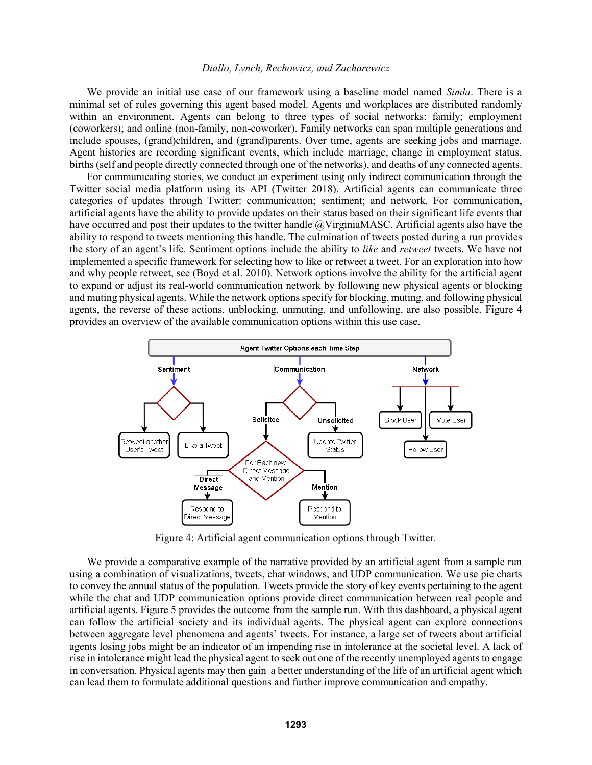We provide an initial use case of our framework using a baseline model named *Simla*. There is a minimal set of rules governing this agent based model. Agents and workplaces are distributed randomly within an environment. Agents can belong to three types of social networks: family; employment (coworkers); and online (non-family, non-coworker). Family networks can span multiple generations and include spouses, (grand)children, and (grand)parents. Over time, agents are seeking jobs and marriage. Agent histories are recording significant events, which include marriage, change in employment status, births (self and people directly connected through one of the networks), and deaths of any connected agents.

For communicating stories, we conduct an experiment using only indirect communication through the Twitter social media platform using its API (Twitter 2018). Artificial agents can communicate three categories of updates through Twitter: communication; sentiment; and network. For communication, artificial agents have the ability to provide updates on their status based on their significant life events that have occurred and post their updates to the twitter handle @VirginiaMASC. Artificial agents also have the ability to respond to tweets mentioning this handle. The culmination of tweets posted during a run provides the story of an agent's life. Sentiment options include the ability to *like* and *retweet* tweets. We have not implemented a specific framework for selecting how to like or retweet a tweet. For an exploration into how and why people retweet, see (Boyd et al. 2010). Network options involve the ability for the artificial agent to expand or adjust its real-world communication network by following new physical agents or blocking and muting physical agents. While the network options specify for blocking, muting, and following physical agents, the reverse of these actions, unblocking, unmuting, and unfollowing, are also possible. Figure 4 provides an overview of the available communication options within this use case.



Figure 4: Artificial agent communication options through Twitter.

We provide a comparative example of the narrative provided by an artificial agent from a sample run using a combination of visualizations, tweets, chat windows, and UDP communication. We use pie charts to convey the annual status of the population. Tweets provide the story of key events pertaining to the agent while the chat and UDP communication options provide direct communication between real people and artificial agents. Figure 5 provides the outcome from the sample run. With this dashboard, a physical agent can follow the artificial society and its individual agents. The physical agent can explore connections between aggregate level phenomena and agents' tweets. For instance, a large set of tweets about artificial agents losing jobs might be an indicator of an impending rise in intolerance at the societal level. A lack of rise in intolerance might lead the physical agent to seek out one of the recently unemployed agents to engage in conversation. Physical agents may then gain a better understanding of the life of an artificial agent which can lead them to formulate additional questions and further improve communication and empathy.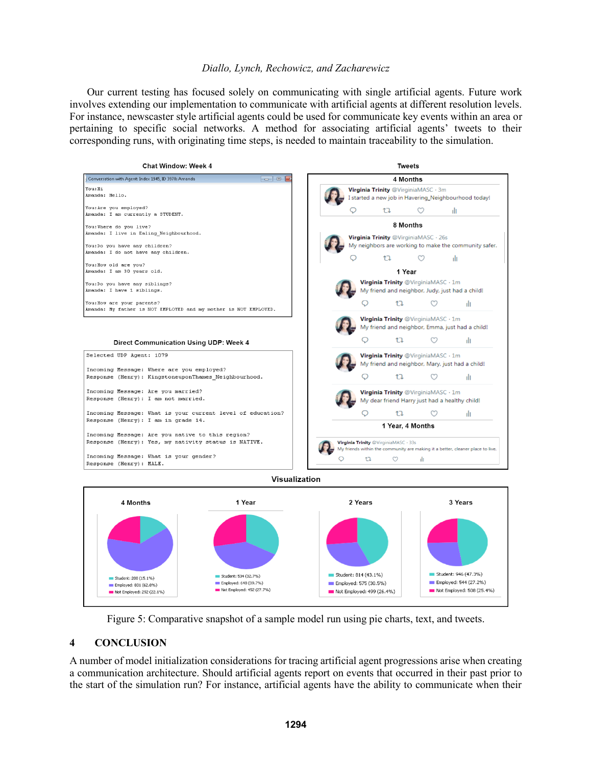Our current testing has focused solely on communicating with single artificial agents. Future work involves extending our implementation to communicate with artificial agents at different resolution levels. For instance, newscaster style artificial agents could be used for communicate key events within an area or pertaining to specific social networks. A method for associating artificial agents' tweets to their corresponding runs, with originating time steps, is needed to maintain traceability to the simulation.







Figure 5: Comparative snapshot of a sample model run using pie charts, text, and tweets.

# **4 CONCLUSION**

A number of model initialization considerations for tracing artificial agent progressions arise when creating a communication architecture. Should artificial agents report on events that occurred in their past prior to the start of the simulation run? For instance, artificial agents have the ability to communicate when their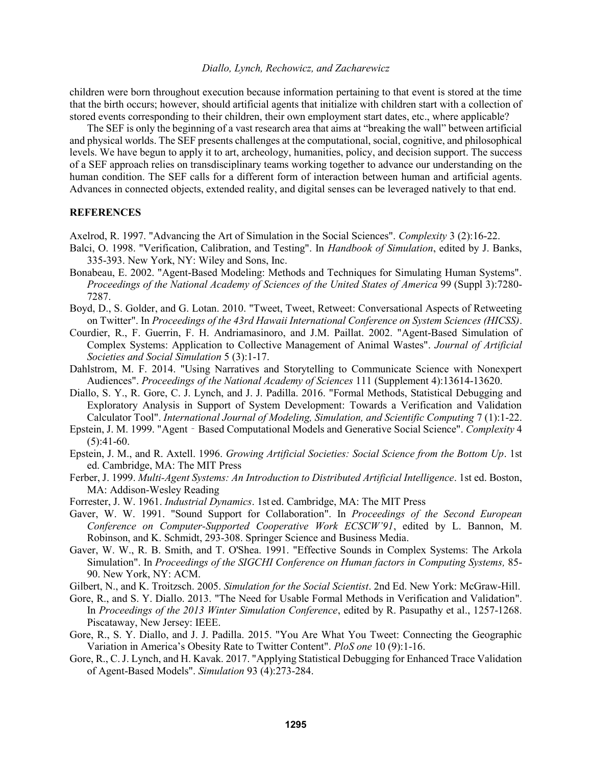children were born throughout execution because information pertaining to that event is stored at the time that the birth occurs; however, should artificial agents that initialize with children start with a collection of stored events corresponding to their children, their own employment start dates, etc., where applicable?

The SEF is only the beginning of a vast research area that aims at "breaking the wall" between artificial and physical worlds. The SEF presents challenges at the computational, social, cognitive, and philosophical levels. We have begun to apply it to art, archeology, humanities, policy, and decision support. The success of a SEF approach relies on transdisciplinary teams working together to advance our understanding on the human condition. The SEF calls for a different form of interaction between human and artificial agents. Advances in connected objects, extended reality, and digital senses can be leveraged natively to that end.

# **REFERENCES**

Axelrod, R. 1997. "Advancing the Art of Simulation in the Social Sciences". *Complexity* 3 (2):16-22.

- Balci, O. 1998. "Verification, Calibration, and Testing". In *Handbook of Simulation*, edited by J. Banks, 335-393. New York, NY: Wiley and Sons, Inc.
- Bonabeau, E. 2002. "Agent-Based Modeling: Methods and Techniques for Simulating Human Systems". *Proceedings of the National Academy of Sciences of the United States of America* 99 (Suppl 3):7280- 7287.
- Boyd, D., S. Golder, and G. Lotan. 2010. "Tweet, Tweet, Retweet: Conversational Aspects of Retweeting on Twitter". In *Proceedings of the 43rd Hawaii International Conference on System Sciences (HICSS)*.
- Courdier, R., F. Guerrin, F. H. Andriamasinoro, and J.M. Paillat. 2002. "Agent-Based Simulation of Complex Systems: Application to Collective Management of Animal Wastes". *Journal of Artificial Societies and Social Simulation* 5 (3):1-17.
- Dahlstrom, M. F. 2014. "Using Narratives and Storytelling to Communicate Science with Nonexpert Audiences". *Proceedings of the National Academy of Sciences* 111 (Supplement 4):13614-13620.
- Diallo, S. Y., R. Gore, C. J. Lynch, and J. J. Padilla. 2016. "Formal Methods, Statistical Debugging and Exploratory Analysis in Support of System Development: Towards a Verification and Validation Calculator Tool". *International Journal of Modeling, Simulation, and Scientific Computing* 7 (1):1-22.
- Epstein, J. M. 1999. "Agent‐Based Computational Models and Generative Social Science". *Complexity* 4  $(5):41-60.$
- Epstein, J. M., and R. Axtell. 1996. *Growing Artificial Societies: Social Science from the Bottom Up*. 1st ed. Cambridge, MA: The MIT Press
- Ferber, J. 1999. *Multi-Agent Systems: An Introduction to Distributed Artificial Intelligence*. 1st ed. Boston, MA: Addison-Wesley Reading
- Forrester, J. W. 1961. *Industrial Dynamics*. 1st ed. Cambridge, MA: The MIT Press
- Gaver, W. W. 1991. "Sound Support for Collaboration". In *Proceedings of the Second European Conference on Computer-Supported Cooperative Work ECSCW'91*, edited by L. Bannon, M. Robinson, and K. Schmidt, 293-308. Springer Science and Business Media.
- Gaver, W. W., R. B. Smith, and T. O'Shea. 1991. "Effective Sounds in Complex Systems: The Arkola Simulation". In *Proceedings of the SIGCHI Conference on Human factors in Computing Systems,* 85- 90. New York, NY: ACM.
- Gilbert, N., and K. Troitzsch. 2005. *Simulation for the Social Scientist*. 2nd Ed. New York: McGraw-Hill.
- Gore, R., and S. Y. Diallo. 2013. "The Need for Usable Formal Methods in Verification and Validation". In *Proceedings of the 2013 Winter Simulation Conference*, edited by R. Pasupathy et al., 1257-1268. Piscataway, New Jersey: IEEE.
- Gore, R., S. Y. Diallo, and J. J. Padilla. 2015. "You Are What You Tweet: Connecting the Geographic Variation in America's Obesity Rate to Twitter Content". *PloS one* 10 (9):1-16.
- Gore, R., C. J. Lynch, and H. Kavak. 2017. "Applying Statistical Debugging for Enhanced Trace Validation of Agent-Based Models". *Simulation* 93 (4):273-284.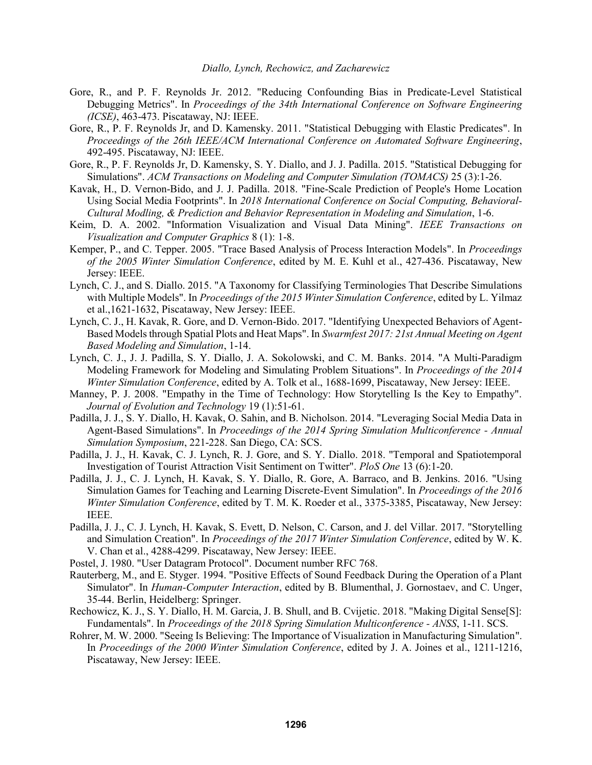- Gore, R., and P. F. Reynolds Jr. 2012. "Reducing Confounding Bias in Predicate-Level Statistical Debugging Metrics". In *Proceedings of the 34th International Conference on Software Engineering (ICSE)*, 463-473. Piscataway, NJ: IEEE.
- Gore, R., P. F. Reynolds Jr, and D. Kamensky. 2011. "Statistical Debugging with Elastic Predicates". In *Proceedings of the 26th IEEE/ACM International Conference on Automated Software Engineering*, 492-495. Piscataway, NJ: IEEE.
- Gore, R., P. F. Reynolds Jr, D. Kamensky, S. Y. Diallo, and J. J. Padilla. 2015. "Statistical Debugging for Simulations". *ACM Transactions on Modeling and Computer Simulation (TOMACS)* 25 (3):1-26.
- Kavak, H., D. Vernon-Bido, and J. J. Padilla. 2018. "Fine-Scale Prediction of People's Home Location Using Social Media Footprints". In *2018 International Conference on Social Computing, Behavioral-Cultural Modling, & Prediction and Behavior Representation in Modeling and Simulation*, 1-6.
- Keim, D. A. 2002. "Information Visualization and Visual Data Mining". *IEEE Transactions on Visualization and Computer Graphics* 8 (1): 1-8.
- Kemper, P., and C. Tepper. 2005. "Trace Based Analysis of Process Interaction Models". In *Proceedings of the 2005 Winter Simulation Conference*, edited by M. E. Kuhl et al., 427-436. Piscataway, New Jersey: IEEE.
- Lynch, C. J., and S. Diallo. 2015. "A Taxonomy for Classifying Terminologies That Describe Simulations with Multiple Models". In *Proceedings of the 2015 Winter Simulation Conference*, edited by L. Yilmaz et al.,1621-1632, Piscataway, New Jersey: IEEE.
- Lynch, C. J., H. Kavak, R. Gore, and D. Vernon-Bido. 2017. "Identifying Unexpected Behaviors of Agent-Based Models through Spatial Plots and Heat Maps". In *Swarmfest 2017: 21st Annual Meeting on Agent Based Modeling and Simulation*, 1-14.
- Lynch, C. J., J. J. Padilla, S. Y. Diallo, J. A. Sokolowski, and C. M. Banks. 2014. "A Multi-Paradigm Modeling Framework for Modeling and Simulating Problem Situations". In *Proceedings of the 2014 Winter Simulation Conference*, edited by A. Tolk et al., 1688-1699, Piscataway, New Jersey: IEEE.
- Manney, P. J. 2008. "Empathy in the Time of Technology: How Storytelling Is the Key to Empathy". *Journal of Evolution and Technology* 19 (1):51-61.
- Padilla, J. J., S. Y. Diallo, H. Kavak, O. Sahin, and B. Nicholson. 2014. "Leveraging Social Media Data in Agent-Based Simulations". In *Proceedings of the 2014 Spring Simulation Multiconference - Annual Simulation Symposium*, 221-228. San Diego, CA: SCS.
- Padilla, J. J., H. Kavak, C. J. Lynch, R. J. Gore, and S. Y. Diallo. 2018. "Temporal and Spatiotemporal Investigation of Tourist Attraction Visit Sentiment on Twitter". *PloS One* 13 (6):1-20.
- Padilla, J. J., C. J. Lynch, H. Kavak, S. Y. Diallo, R. Gore, A. Barraco, and B. Jenkins. 2016. "Using Simulation Games for Teaching and Learning Discrete-Event Simulation". In *Proceedings of the 2016 Winter Simulation Conference*, edited by T. M. K. Roeder et al., 3375-3385, Piscataway, New Jersey: IEEE.
- Padilla, J. J., C. J. Lynch, H. Kavak, S. Evett, D. Nelson, C. Carson, and J. del Villar. 2017. "Storytelling and Simulation Creation". In *Proceedings of the 2017 Winter Simulation Conference*, edited by W. K. V. Chan et al., 4288-4299. Piscataway, New Jersey: IEEE.
- Postel, J. 1980. "User Datagram Protocol". Document number RFC 768.
- Rauterberg, M., and E. Styger. 1994. "Positive Effects of Sound Feedback During the Operation of a Plant Simulator". In *Human-Computer Interaction*, edited by B. Blumenthal, J. Gornostaev, and C. Unger, 35-44. Berlin, Heidelberg: Springer.
- Rechowicz, K. J., S. Y. Diallo, H. M. Garcia, J. B. Shull, and B. Cvijetic. 2018. "Making Digital Sense[S]: Fundamentals". In *Proceedings of the 2018 Spring Simulation Multiconference - ANSS*, 1-11. SCS.
- Rohrer, M. W. 2000. "Seeing Is Believing: The Importance of Visualization in Manufacturing Simulation". In *Proceedings of the 2000 Winter Simulation Conference*, edited by J. A. Joines et al., 1211-1216, Piscataway, New Jersey: IEEE.